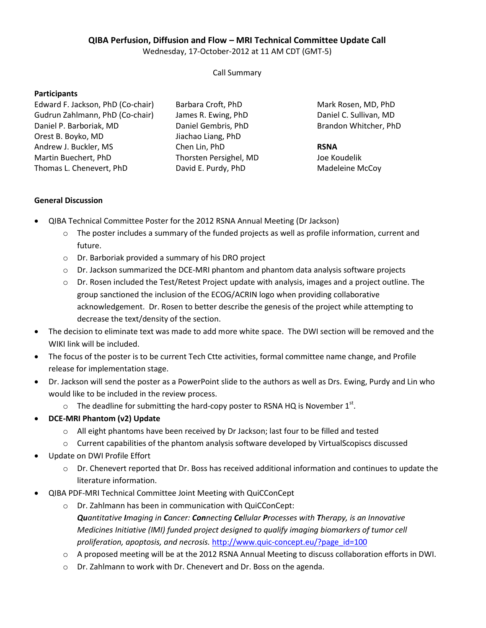## **QIBA Perfusion, Diffusion and Flow – MRI Technical Committee Update Call**

Wednesday, 17-October-2012 at 11 AM CDT (GMT-5)

Call Summary

#### **Participants**

Edward F. Jackson, PhD (Co-chair) Gudrun Zahlmann, PhD (Co-chair) Daniel P. Barboriak, MD Orest B. Boyko, MD Andrew J. Buckler, MS Martin Buechert, PhD Thomas L. Chenevert, PhD

Barbara Croft, PhD James R. Ewing, PhD Daniel Gembris, PhD Jiachao Liang, PhD Chen Lin, PhD Thorsten Persighel, MD David E. Purdy, PhD

Mark Rosen, MD, PhD Daniel C. Sullivan, MD Brandon Whitcher, PhD

## **RSNA**

Joe Koudelik Madeleine McCoy

# **General Discussion**

- QIBA Technical Committee Poster for the 2012 RSNA Annual Meeting (Dr Jackson)
	- $\circ$  The poster includes a summary of the funded projects as well as profile information, current and future.
	- o Dr. Barboriak provided a summary of his DRO project
	- o Dr. Jackson summarized the DCE-MRI phantom and phantom data analysis software projects
	- $\circ$  Dr. Rosen included the Test/Retest Project update with analysis, images and a project outline. The group sanctioned the inclusion of the ECOG/ACRIN logo when providing collaborative acknowledgement. Dr. Rosen to better describe the genesis of the project while attempting to decrease the text/density of the section.
- The decision to eliminate text was made to add more white space. The DWI section will be removed and the WIKI link will be included.
- The focus of the poster is to be current Tech Ctte activities, formal committee name change, and Profile release for implementation stage.
- Dr. Jackson will send the poster as a PowerPoint slide to the authors as well as Drs. Ewing, Purdy and Lin who would like to be included in the review process.
	- $\circ$  The deadline for submitting the hard-copy poster to RSNA HQ is November 1<sup>st</sup>.
- **DCE-MRI Phantom (v2) Update**
	- o All eight phantoms have been received by Dr Jackson; last four to be filled and tested
	- $\circ$  Current capabilities of the phantom analysis software developed by VirtualScopiscs discussed
- Update on DWI Profile Effort
	- $\circ$  Dr. Chenevert reported that Dr. Boss has received additional information and continues to update the literature information.
- QIBA PDF-MRI Technical Committee Joint Meeting with QuiCConCept
	- o Dr. Zahlmann has been in communication with QuiCConCept: *Quantitative Imaging in Cancer: Connecting Cellular Processes with Therapy, is an Innovative Medicines Initiative (IMI) funded project designed to qualify imaging biomarkers of tumor cell proliferation, apoptosis, and necrosis.* [http://www.quic-concept.eu/?page\\_id=100](http://www.quic-concept.eu/?page_id=100)
	- o A proposed meeting will be at the 2012 RSNA Annual Meeting to discuss collaboration efforts in DWI.
	- o Dr. Zahlmann to work with Dr. Chenevert and Dr. Boss on the agenda.